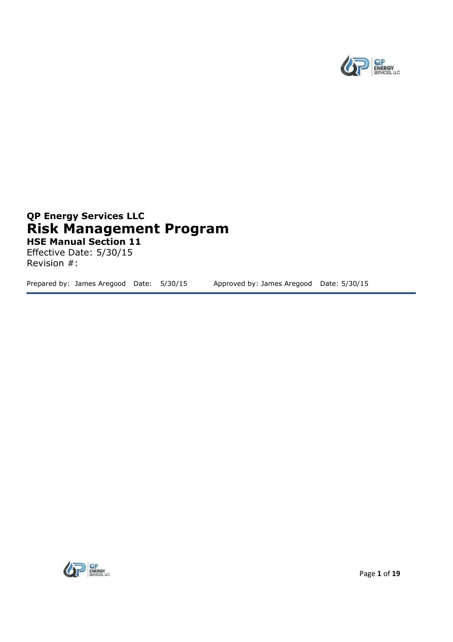

### **QP Energy Services LLC Risk Management Program HSE Manual Section 11**

Effective Date: 5/30/15 Revision #:

Prepared by: James Aregood Date: 5/30/15 Approved by: James Aregood Date: 5/30/15

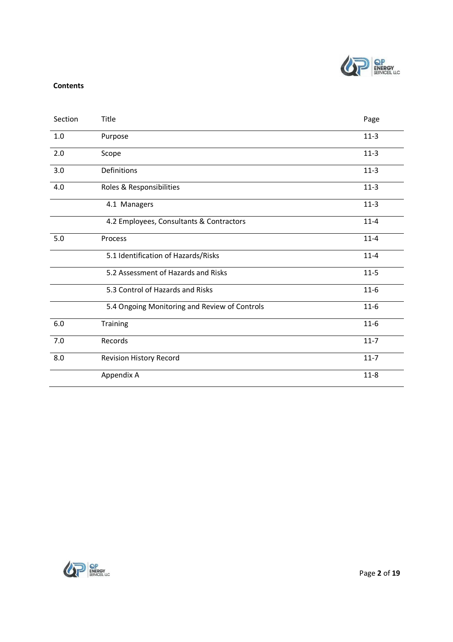

#### **Contents**

| Section | Title                                         | Page     |
|---------|-----------------------------------------------|----------|
| 1.0     | Purpose                                       | $11-3$   |
| 2.0     | Scope                                         | $11-3$   |
| 3.0     | Definitions                                   | $11-3$   |
| 4.0     | Roles & Responsibilities                      | $11-3$   |
|         | 4.1 Managers                                  | $11-3$   |
|         | 4.2 Employees, Consultants & Contractors      | $11 - 4$ |
| 5.0     | Process                                       | $11 - 4$ |
|         | 5.1 Identification of Hazards/Risks           | $11 - 4$ |
|         | 5.2 Assessment of Hazards and Risks           | $11 - 5$ |
|         | 5.3 Control of Hazards and Risks              | $11-6$   |
|         | 5.4 Ongoing Monitoring and Review of Controls | $11-6$   |
| $6.0\,$ | Training                                      | $11-6$   |
| 7.0     | Records                                       | $11 - 7$ |
| 8.0     | Revision History Record                       | $11 - 7$ |
|         | Appendix A                                    | $11 - 8$ |

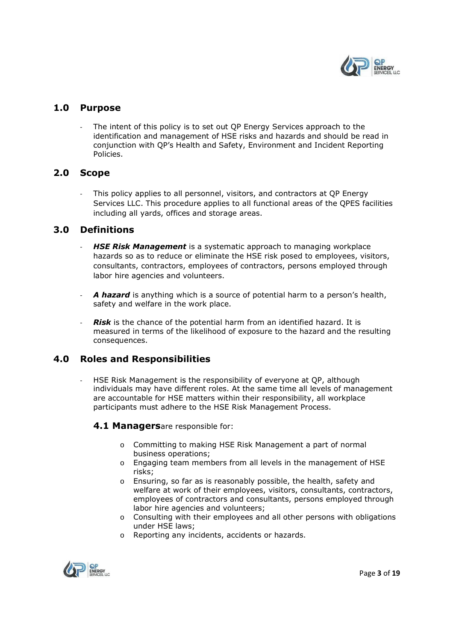

#### **1.0 Purpose**

The intent of this policy is to set out QP Energy Services approach to the identification and management of HSE risks and hazards and should be read in conjunction with QP's Health and Safety, Environment and Incident Reporting Policies.

#### **2.0 Scope**

- This policy applies to all personnel, visitors, and contractors at QP Energy Services LLC. This procedure applies to all functional areas of the QPES facilities including all yards, offices and storage areas.

#### **3.0 Definitions**

- **HSE Risk Management** is a systematic approach to managing workplace hazards so as to reduce or eliminate the HSE risk posed to employees, visitors, consultants, contractors, employees of contractors, persons employed through labor hire agencies and volunteers.
- A hazard is anything which is a source of potential harm to a person's health, safety and welfare in the work place.
- *Risk* is the chance of the potential harm from an identified hazard. It is measured in terms of the likelihood of exposure to the hazard and the resulting consequences.

#### **4.0 Roles and Responsibilities**

- HSE Risk Management is the responsibility of everyone at QP, although individuals may have different roles. At the same time all levels of management are accountable for HSE matters within their responsibility, all workplace participants must adhere to the HSE Risk Management Process.

#### **4.1 Managers**are responsible for:

- o Committing to making HSE Risk Management a part of normal business operations;
- o Engaging team members from all levels in the management of HSE risks;
- o Ensuring, so far as is reasonably possible, the health, safety and welfare at work of their employees, visitors, consultants, contractors, employees of contractors and consultants, persons employed through labor hire agencies and volunteers;
- $\circ$  Consulting with their employees and all other persons with obligations under HSE laws;
- o Reporting any incidents, accidents or hazards.

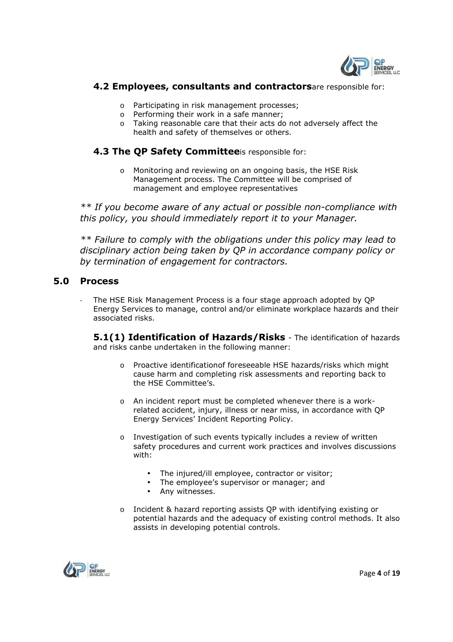

#### **4.2 Employees, consultants and contractors**are responsible for:

- o Participating in risk management processes;
- o Performing their work in a safe manner;
- o Taking reasonable care that their acts do not adversely affect the health and safety of themselves or others.

#### **4.3 The QP Safety Committee**is responsible for:

o Monitoring and reviewing on an ongoing basis, the HSE Risk Management process. The Committee will be comprised of management and employee representatives

*\*\* If you become aware of any actual or possible non-compliance with this policy, you should immediately report it to your Manager.* 

*\*\* Failure to comply with the obligations under this policy may lead to disciplinary action being taken by QP in accordance company policy or by termination of engagement for contractors.* 

#### **5.0 Process**

The HSE Risk Management Process is a four stage approach adopted by OP Energy Services to manage, control and/or eliminate workplace hazards and their associated risks.

**5.1(1) Identification of Hazards/Risks** - The identification of hazards and risks canbe undertaken in the following manner:

- o Proactive identificationof foreseeable HSE hazards/risks which might cause harm and completing risk assessments and reporting back to the HSE Committee's.
- o An incident report must be completed whenever there is a workrelated accident, injury, illness or near miss, in accordance with QP Energy Services' Incident Reporting Policy.
- o Investigation of such events typically includes a review of written safety procedures and current work practices and involves discussions with:
	- The injured/ill employee, contractor or visitor;
	- The employee's supervisor or manager; and
	- Any witnesses.
- o Incident & hazard reporting assists QP with identifying existing or potential hazards and the adequacy of existing control methods. It also assists in developing potential controls.

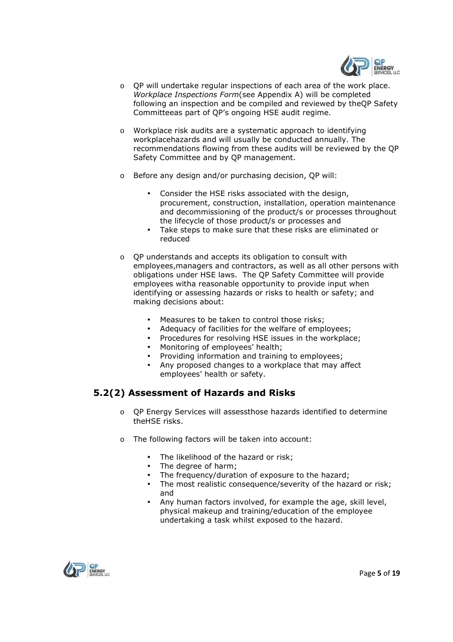

- $\circ$  OP will undertake regular inspections of each area of the work place. *Workplace Inspections Form*(see Appendix A) will be completed following an inspection and be compiled and reviewed by theQP Safety Committeeas part of QP's ongoing HSE audit regime.
- o Workplace risk audits are a systematic approach to identifying workplacehazards and will usually be conducted annually. The recommendations flowing from these audits will be reviewed by the QP Safety Committee and by QP management.
- o Before any design and/or purchasing decision, QP will:
	- Consider the HSE risks associated with the design, procurement, construction, installation, operation maintenance and decommissioning of the product/s or processes throughout the lifecycle of those product/s or processes and
	- Take steps to make sure that these risks are eliminated or reduced
- o QP understands and accepts its obligation to consult with employees,managers and contractors, as well as all other persons with obligations under HSE laws. The QP Safety Committee will provide employees witha reasonable opportunity to provide input when identifying or assessing hazards or risks to health or safety; and making decisions about:
	- Measures to be taken to control those risks;
	- Adequacy of facilities for the welfare of employees;
	- Procedures for resolving HSE issues in the workplace;
	- Monitoring of employees' health;
	- Providing information and training to employees;
	- Any proposed changes to a workplace that may affect employees' health or safety.

#### **5.2(2) Assessment of Hazards and Risks**

- o QP Energy Services will assessthose hazards identified to determine theHSE risks.
- o The following factors will be taken into account:
	- The likelihood of the hazard or risk;
	- The degree of harm;
	- The frequency/duration of exposure to the hazard:
	- The most realistic consequence/severity of the hazard or risk; and
	- Any human factors involved, for example the age, skill level, physical makeup and training/education of the employee undertaking a task whilst exposed to the hazard.

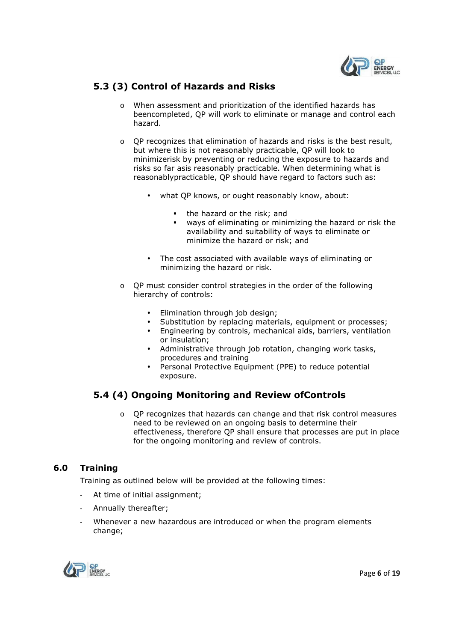

#### **5.3 (3) Control of Hazards and Risks**

- o When assessment and prioritization of the identified hazards has beencompleted, QP will work to eliminate or manage and control each hazard.
- $\circ$  OP recognizes that elimination of hazards and risks is the best result, but where this is not reasonably practicable, QP will look to minimizerisk by preventing or reducing the exposure to hazards and risks so far asis reasonably practicable. When determining what is reasonablypracticable, QP should have regard to factors such as:
	- what QP knows, or ought reasonably know, about:
		- the hazard or the risk; and
		- ways of eliminating or minimizing the hazard or risk the availability and suitability of ways to eliminate or minimize the hazard or risk; and
	- The cost associated with available ways of eliminating or minimizing the hazard or risk.
- o QP must consider control strategies in the order of the following hierarchy of controls:
	- Elimination through job design;
	- Substitution by replacing materials, equipment or processes;
	- Engineering by controls, mechanical aids, barriers, ventilation or insulation;
	- Administrative through job rotation, changing work tasks, procedures and training
	- Personal Protective Equipment (PPE) to reduce potential exposure.

#### **5.4 (4) Ongoing Monitoring and Review ofControls**

o QP recognizes that hazards can change and that risk control measures need to be reviewed on an ongoing basis to determine their effectiveness, therefore QP shall ensure that processes are put in place for the ongoing monitoring and review of controls.

#### **6.0 Training**

Training as outlined below will be provided at the following times:

- At time of initial assignment;
- Annually thereafter;
- Whenever a new hazardous are introduced or when the program elements change;

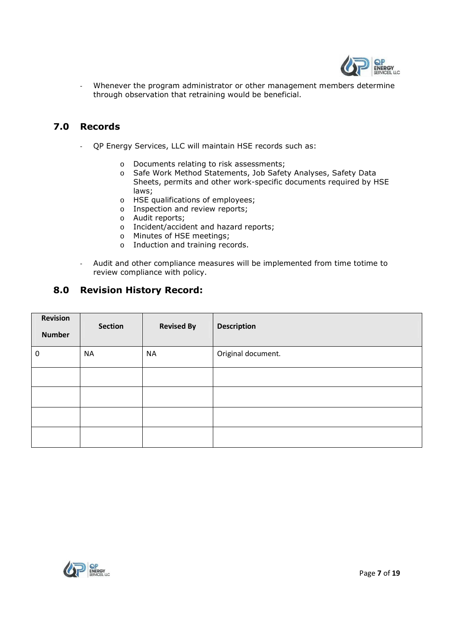

Whenever the program administrator or other management members determine through observation that retraining would be beneficial.

#### **7.0 Records**

- QP Energy Services, LLC will maintain HSE records such as:
	- o Documents relating to risk assessments;
	- o Safe Work Method Statements, Job Safety Analyses, Safety Data Sheets, permits and other work-specific documents required by HSE laws;
	- o HSE qualifications of employees;
	- o Inspection and review reports;
	- o Audit reports;
	- o Incident/accident and hazard reports;
	- o Minutes of HSE meetings;
	- o Induction and training records.
- Audit and other compliance measures will be implemented from time totime to review compliance with policy.

#### **8.0 Revision History Record:**

| Revision<br><b>Number</b> | <b>Section</b> | <b>Revised By</b> | <b>Description</b> |
|---------------------------|----------------|-------------------|--------------------|
| $\mathbf 0$               | <b>NA</b>      | <b>NA</b>         | Original document. |
|                           |                |                   |                    |
|                           |                |                   |                    |
|                           |                |                   |                    |
|                           |                |                   |                    |

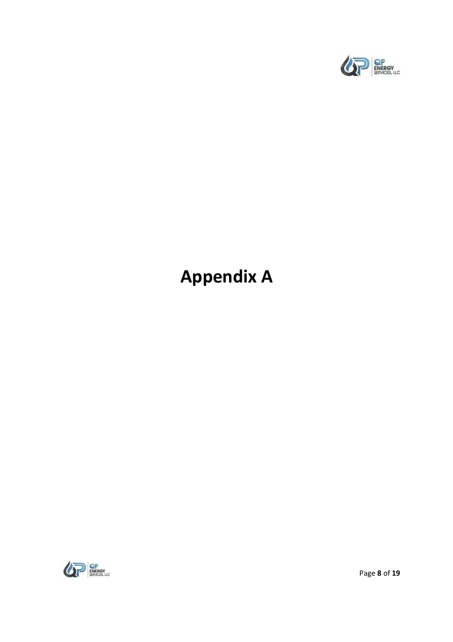

# **Appendix A**



Page **8** of **19**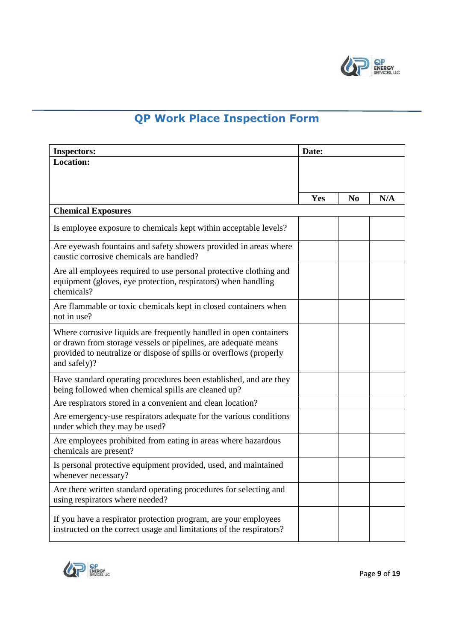

## **QP Work Place Inspection Form**

| <b>Inspectors:</b>                                                                                                                                                                                                        | Date: |                |     |
|---------------------------------------------------------------------------------------------------------------------------------------------------------------------------------------------------------------------------|-------|----------------|-----|
| <b>Location:</b>                                                                                                                                                                                                          |       |                |     |
|                                                                                                                                                                                                                           |       |                |     |
|                                                                                                                                                                                                                           | Yes   | N <sub>0</sub> | N/A |
| <b>Chemical Exposures</b>                                                                                                                                                                                                 |       |                |     |
| Is employee exposure to chemicals kept within acceptable levels?                                                                                                                                                          |       |                |     |
| Are eyewash fountains and safety showers provided in areas where<br>caustic corrosive chemicals are handled?                                                                                                              |       |                |     |
| Are all employees required to use personal protective clothing and<br>equipment (gloves, eye protection, respirators) when handling<br>chemicals?                                                                         |       |                |     |
| Are flammable or toxic chemicals kept in closed containers when<br>not in use?                                                                                                                                            |       |                |     |
| Where corrosive liquids are frequently handled in open containers<br>or drawn from storage vessels or pipelines, are adequate means<br>provided to neutralize or dispose of spills or overflows (properly<br>and safely)? |       |                |     |
| Have standard operating procedures been established, and are they<br>being followed when chemical spills are cleaned up?                                                                                                  |       |                |     |
| Are respirators stored in a convenient and clean location?                                                                                                                                                                |       |                |     |
| Are emergency-use respirators adequate for the various conditions<br>under which they may be used?                                                                                                                        |       |                |     |
| Are employees prohibited from eating in areas where hazardous<br>chemicals are present?                                                                                                                                   |       |                |     |
| Is personal protective equipment provided, used, and maintained<br>whenever necessary?                                                                                                                                    |       |                |     |
| Are there written standard operating procedures for selecting and<br>using respirators where needed?                                                                                                                      |       |                |     |
| If you have a respirator protection program, are your employees<br>instructed on the correct usage and limitations of the respirators?                                                                                    |       |                |     |

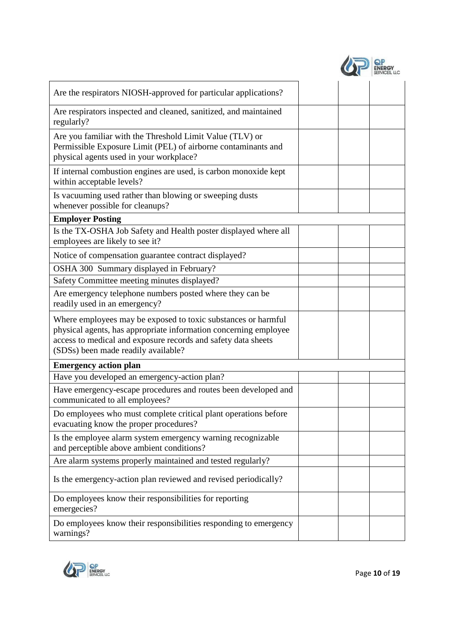| Are the respirators NIOSH-approved for particular applications?                                                                                                                                                                           |  |  |
|-------------------------------------------------------------------------------------------------------------------------------------------------------------------------------------------------------------------------------------------|--|--|
| Are respirators inspected and cleaned, sanitized, and maintained<br>regularly?                                                                                                                                                            |  |  |
| Are you familiar with the Threshold Limit Value (TLV) or<br>Permissible Exposure Limit (PEL) of airborne contaminants and<br>physical agents used in your workplace?                                                                      |  |  |
| If internal combustion engines are used, is carbon monoxide kept<br>within acceptable levels?                                                                                                                                             |  |  |
| Is vacuuming used rather than blowing or sweeping dusts<br>whenever possible for cleanups?                                                                                                                                                |  |  |
| <b>Employer Posting</b>                                                                                                                                                                                                                   |  |  |
| Is the TX-OSHA Job Safety and Health poster displayed where all<br>employees are likely to see it?                                                                                                                                        |  |  |
| Notice of compensation guarantee contract displayed?                                                                                                                                                                                      |  |  |
| OSHA 300 Summary displayed in February?                                                                                                                                                                                                   |  |  |
| Safety Committee meeting minutes displayed?                                                                                                                                                                                               |  |  |
| Are emergency telephone numbers posted where they can be<br>readily used in an emergency?                                                                                                                                                 |  |  |
| Where employees may be exposed to toxic substances or harmful<br>physical agents, has appropriate information concerning employee<br>access to medical and exposure records and safety data sheets<br>(SDSs) been made readily available? |  |  |
| <b>Emergency action plan</b>                                                                                                                                                                                                              |  |  |
| Have you developed an emergency-action plan?                                                                                                                                                                                              |  |  |
| Have emergency-escape procedures and routes been developed and<br>communicated to all employees?                                                                                                                                          |  |  |
| Do employees who must complete critical plant operations before<br>evacuating know the proper procedures?                                                                                                                                 |  |  |
| Is the employee alarm system emergency warning recognizable<br>and perceptible above ambient conditions?                                                                                                                                  |  |  |
| Are alarm systems properly maintained and tested regularly?                                                                                                                                                                               |  |  |
| Is the emergency-action plan reviewed and revised periodically?                                                                                                                                                                           |  |  |
| Do employees know their responsibilities for reporting<br>emergecies?                                                                                                                                                                     |  |  |
| Do employees know their responsibilities responding to emergency<br>warnings?                                                                                                                                                             |  |  |

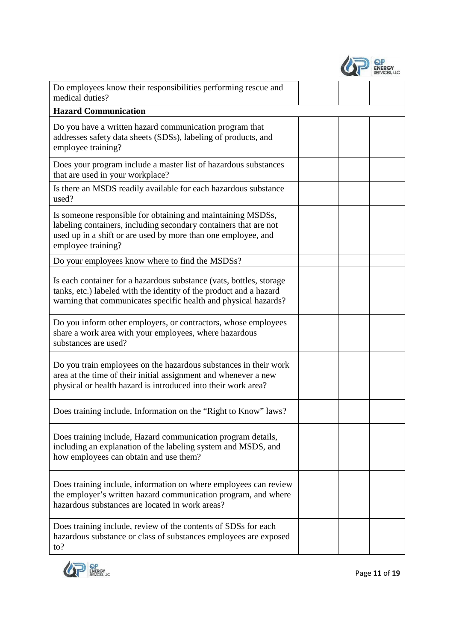| Do employees know their responsibilities performing rescue and<br>medical duties?                                                                                                                                      |  |  |
|------------------------------------------------------------------------------------------------------------------------------------------------------------------------------------------------------------------------|--|--|
| <b>Hazard Communication</b>                                                                                                                                                                                            |  |  |
| Do you have a written hazard communication program that<br>addresses safety data sheets (SDSs), labeling of products, and<br>employee training?                                                                        |  |  |
| Does your program include a master list of hazardous substances<br>that are used in your workplace?                                                                                                                    |  |  |
| Is there an MSDS readily available for each hazardous substance<br>used?                                                                                                                                               |  |  |
| Is someone responsible for obtaining and maintaining MSDSs,<br>labeling containers, including secondary containers that are not<br>used up in a shift or are used by more than one employee, and<br>employee training? |  |  |
| Do your employees know where to find the MSDSs?                                                                                                                                                                        |  |  |
| Is each container for a hazardous substance (vats, bottles, storage<br>tanks, etc.) labeled with the identity of the product and a hazard<br>warning that communicates specific health and physical hazards?           |  |  |
| Do you inform other employers, or contractors, whose employees<br>share a work area with your employees, where hazardous<br>substances are used?                                                                       |  |  |
| Do you train employees on the hazardous substances in their work<br>area at the time of their initial assignment and whenever a new<br>physical or health hazard is introduced into their work area?                   |  |  |
| Does training include, Information on the "Right to Know" laws?                                                                                                                                                        |  |  |
| Does training include, Hazard communication program details,<br>including an explanation of the labeling system and MSDS, and<br>how employees can obtain and use them?                                                |  |  |
| Does training include, information on where employees can review<br>the employer's written hazard communication program, and where<br>hazardous substances are located in work areas?                                  |  |  |
| Does training include, review of the contents of SDSs for each<br>hazardous substance or class of substances employees are exposed<br>$\mathrm{to}$ ?                                                                  |  |  |

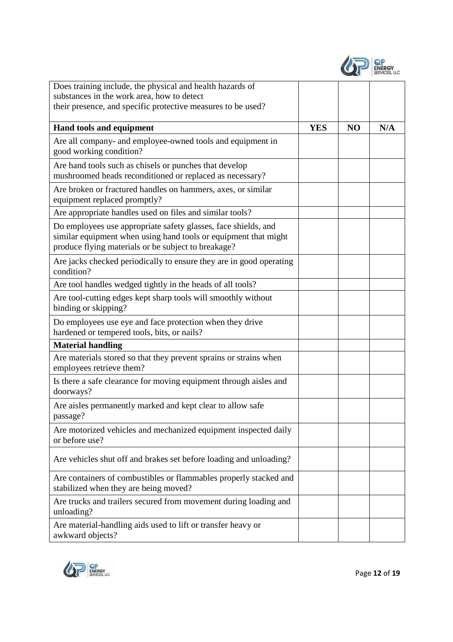

| Does training include, the physical and health hazards of                                                                                                                                |            |                |     |
|------------------------------------------------------------------------------------------------------------------------------------------------------------------------------------------|------------|----------------|-----|
| substances in the work area, how to detect<br>their presence, and specific protective measures to be used?                                                                               |            |                |     |
|                                                                                                                                                                                          |            |                |     |
| Hand tools and equipment                                                                                                                                                                 | <b>YES</b> | N <sub>O</sub> | N/A |
| Are all company- and employee-owned tools and equipment in<br>good working condition?                                                                                                    |            |                |     |
| Are hand tools such as chisels or punches that develop<br>mushroomed heads reconditioned or replaced as necessary?                                                                       |            |                |     |
| Are broken or fractured handles on hammers, axes, or similar<br>equipment replaced promptly?                                                                                             |            |                |     |
| Are appropriate handles used on files and similar tools?                                                                                                                                 |            |                |     |
| Do employees use appropriate safety glasses, face shields, and<br>similar equipment when using hand tools or equipment that might<br>produce flying materials or be subject to breakage? |            |                |     |
| Are jacks checked periodically to ensure they are in good operating<br>condition?                                                                                                        |            |                |     |
| Are tool handles wedged tightly in the heads of all tools?                                                                                                                               |            |                |     |
| Are tool-cutting edges kept sharp tools will smoothly without<br>binding or skipping?                                                                                                    |            |                |     |
| Do employees use eye and face protection when they drive<br>hardened or tempered tools, bits, or nails?                                                                                  |            |                |     |
| <b>Material handling</b>                                                                                                                                                                 |            |                |     |
| Are materials stored so that they prevent sprains or strains when<br>employees retrieve them?                                                                                            |            |                |     |
| Is there a safe clearance for moving equipment through aisles and<br>doorways?                                                                                                           |            |                |     |
| Are aisles permanently marked and kept clear to allow safe<br>passage?                                                                                                                   |            |                |     |
| Are motorized vehicles and mechanized equipment inspected daily<br>or before use?                                                                                                        |            |                |     |
| Are vehicles shut off and brakes set before loading and unloading?                                                                                                                       |            |                |     |
| Are containers of combustibles or flammables properly stacked and<br>stabilized when they are being moved?                                                                               |            |                |     |
| Are trucks and trailers secured from movement during loading and<br>unloading?                                                                                                           |            |                |     |
| Are material-handling aids used to lift or transfer heavy or<br>awkward objects?                                                                                                         |            |                |     |

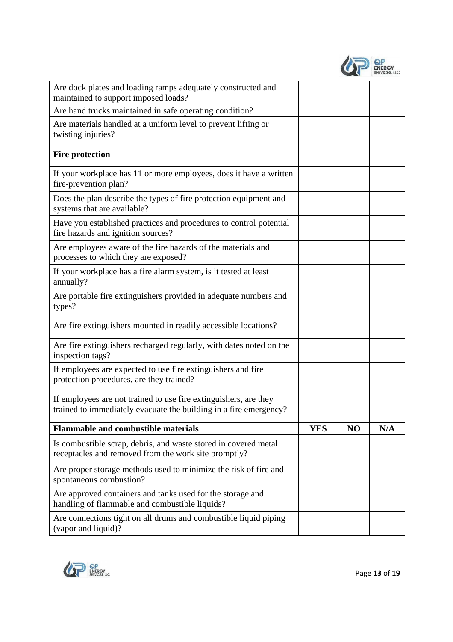|  | <b>ENERGY</b><br><b>SERVICES, LLC</b> |
|--|---------------------------------------|
|--|---------------------------------------|

| Are dock plates and loading ramps adequately constructed and<br>maintained to support imposed loads?                                  |            |                |     |
|---------------------------------------------------------------------------------------------------------------------------------------|------------|----------------|-----|
| Are hand trucks maintained in safe operating condition?                                                                               |            |                |     |
| Are materials handled at a uniform level to prevent lifting or<br>twisting injuries?                                                  |            |                |     |
| <b>Fire protection</b>                                                                                                                |            |                |     |
| If your workplace has 11 or more employees, does it have a written<br>fire-prevention plan?                                           |            |                |     |
| Does the plan describe the types of fire protection equipment and<br>systems that are available?                                      |            |                |     |
| Have you established practices and procedures to control potential<br>fire hazards and ignition sources?                              |            |                |     |
| Are employees aware of the fire hazards of the materials and<br>processes to which they are exposed?                                  |            |                |     |
| If your workplace has a fire alarm system, is it tested at least<br>annually?                                                         |            |                |     |
| Are portable fire extinguishers provided in adequate numbers and<br>types?                                                            |            |                |     |
| Are fire extinguishers mounted in readily accessible locations?                                                                       |            |                |     |
| Are fire extinguishers recharged regularly, with dates noted on the<br>inspection tags?                                               |            |                |     |
| If employees are expected to use fire extinguishers and fire<br>protection procedures, are they trained?                              |            |                |     |
| If employees are not trained to use fire extinguishers, are they<br>trained to immediately evacuate the building in a fire emergency? |            |                |     |
| <b>Flammable and combustible materials</b>                                                                                            | <b>YES</b> | N <sub>O</sub> | N/A |
| Is combustible scrap, debris, and waste stored in covered metal<br>receptacles and removed from the work site promptly?               |            |                |     |
| Are proper storage methods used to minimize the risk of fire and<br>spontaneous combustion?                                           |            |                |     |
| Are approved containers and tanks used for the storage and<br>handling of flammable and combustible liquids?                          |            |                |     |
| Are connections tight on all drums and combustible liquid piping<br>(vapor and liquid)?                                               |            |                |     |

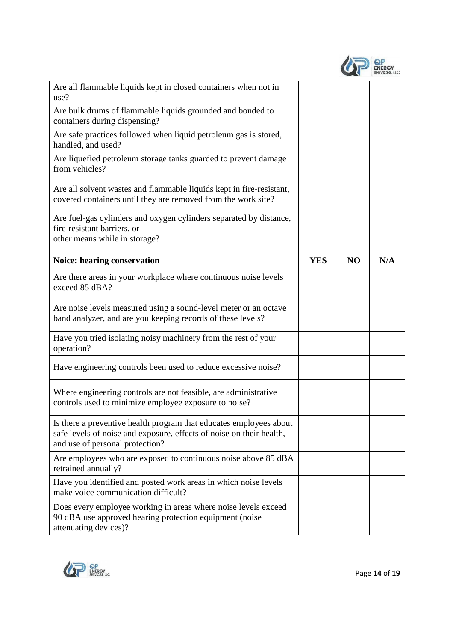| Are all flammable liquids kept in closed containers when not in<br>use?                                                                                                       |            |                |     |
|-------------------------------------------------------------------------------------------------------------------------------------------------------------------------------|------------|----------------|-----|
| Are bulk drums of flammable liquids grounded and bonded to<br>containers during dispensing?                                                                                   |            |                |     |
| Are safe practices followed when liquid petroleum gas is stored,<br>handled, and used?                                                                                        |            |                |     |
| Are liquefied petroleum storage tanks guarded to prevent damage<br>from vehicles?                                                                                             |            |                |     |
| Are all solvent wastes and flammable liquids kept in fire-resistant,<br>covered containers until they are removed from the work site?                                         |            |                |     |
| Are fuel-gas cylinders and oxygen cylinders separated by distance,<br>fire-resistant barriers, or<br>other means while in storage?                                            |            |                |     |
| <b>Noice: hearing conservation</b>                                                                                                                                            | <b>YES</b> | N <sub>O</sub> | N/A |
| Are there areas in your workplace where continuous noise levels<br>exceed 85 dBA?                                                                                             |            |                |     |
| Are noise levels measured using a sound-level meter or an octave<br>band analyzer, and are you keeping records of these levels?                                               |            |                |     |
| Have you tried isolating noisy machinery from the rest of your<br>operation?                                                                                                  |            |                |     |
| Have engineering controls been used to reduce excessive noise?                                                                                                                |            |                |     |
| Where engineering controls are not feasible, are administrative<br>controls used to minimize employee exposure to noise?                                                      |            |                |     |
| Is there a preventive health program that educates employees about<br>safe levels of noise and exposure, effects of noise on their health,<br>and use of personal protection? |            |                |     |
| Are employees who are exposed to continuous noise above 85 dBA<br>retrained annually?                                                                                         |            |                |     |
| Have you identified and posted work areas in which noise levels<br>make voice communication difficult?                                                                        |            |                |     |
| Does every employee working in areas where noise levels exceed<br>90 dBA use approved hearing protection equipment (noise<br>attenuating devices)?                            |            |                |     |

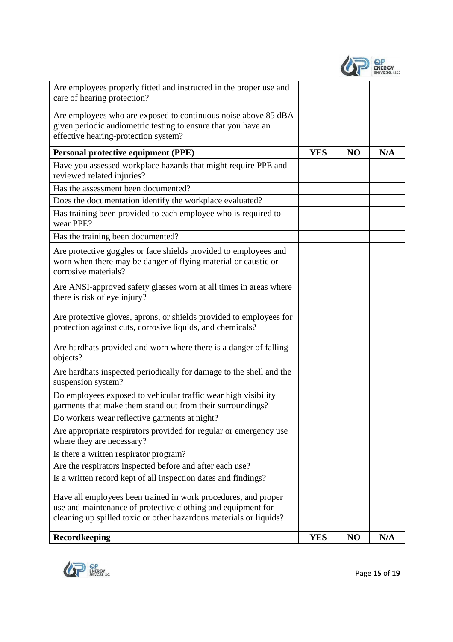|  | <b>ENERGY</b><br><b>SERVICES, LLC</b> |
|--|---------------------------------------|
|--|---------------------------------------|

| Are employees properly fitted and instructed in the proper use and<br>care of hearing protection?                                                                                                    |            |                |     |
|------------------------------------------------------------------------------------------------------------------------------------------------------------------------------------------------------|------------|----------------|-----|
| Are employees who are exposed to continuous noise above 85 dBA<br>given periodic audiometric testing to ensure that you have an<br>effective hearing-protection system?                              |            |                |     |
| <b>Personal protective equipment (PPE)</b>                                                                                                                                                           | <b>YES</b> | N <sub>O</sub> | N/A |
| Have you assessed workplace hazards that might require PPE and<br>reviewed related injuries?                                                                                                         |            |                |     |
| Has the assessment been documented?                                                                                                                                                                  |            |                |     |
| Does the documentation identify the workplace evaluated?                                                                                                                                             |            |                |     |
| Has training been provided to each employee who is required to<br>wear PPE?                                                                                                                          |            |                |     |
| Has the training been documented?                                                                                                                                                                    |            |                |     |
| Are protective goggles or face shields provided to employees and<br>worn when there may be danger of flying material or caustic or<br>corrosive materials?                                           |            |                |     |
| Are ANSI-approved safety glasses worn at all times in areas where<br>there is risk of eye injury?                                                                                                    |            |                |     |
| Are protective gloves, aprons, or shields provided to employees for<br>protection against cuts, corrosive liquids, and chemicals?                                                                    |            |                |     |
| Are hardhats provided and worn where there is a danger of falling<br>objects?                                                                                                                        |            |                |     |
| Are hardhats inspected periodically for damage to the shell and the<br>suspension system?                                                                                                            |            |                |     |
| Do employees exposed to vehicular traffic wear high visibility<br>garments that make them stand out from their surroundings?                                                                         |            |                |     |
| Do workers wear reflective garments at night?                                                                                                                                                        |            |                |     |
| Are appropriate respirators provided for regular or emergency use<br>where they are necessary?                                                                                                       |            |                |     |
| Is there a written respirator program?                                                                                                                                                               |            |                |     |
| Are the respirators inspected before and after each use?                                                                                                                                             |            |                |     |
| Is a written record kept of all inspection dates and findings?                                                                                                                                       |            |                |     |
| Have all employees been trained in work procedures, and proper<br>use and maintenance of protective clothing and equipment for<br>cleaning up spilled toxic or other hazardous materials or liquids? |            |                |     |
| Recordkeeping                                                                                                                                                                                        | <b>YES</b> | N <sub>O</sub> | N/A |

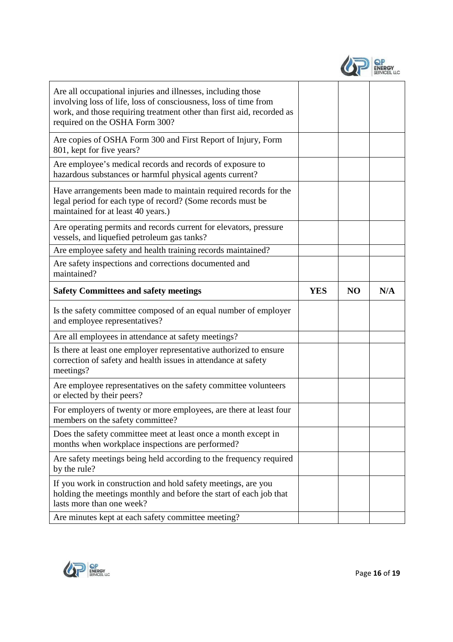

| Are all occupational injuries and illnesses, including those<br>involving loss of life, loss of consciousness, loss of time from<br>work, and those requiring treatment other than first aid, recorded as<br>required on the OSHA Form 300? |            |                |     |
|---------------------------------------------------------------------------------------------------------------------------------------------------------------------------------------------------------------------------------------------|------------|----------------|-----|
| Are copies of OSHA Form 300 and First Report of Injury, Form<br>801, kept for five years?                                                                                                                                                   |            |                |     |
| Are employee's medical records and records of exposure to<br>hazardous substances or harmful physical agents current?                                                                                                                       |            |                |     |
| Have arrangements been made to maintain required records for the<br>legal period for each type of record? (Some records must be<br>maintained for at least 40 years.)                                                                       |            |                |     |
| Are operating permits and records current for elevators, pressure<br>vessels, and liquefied petroleum gas tanks?                                                                                                                            |            |                |     |
| Are employee safety and health training records maintained?                                                                                                                                                                                 |            |                |     |
| Are safety inspections and corrections documented and<br>maintained?                                                                                                                                                                        |            |                |     |
| <b>Safety Committees and safety meetings</b>                                                                                                                                                                                                | <b>YES</b> | N <sub>O</sub> | N/A |
| Is the safety committee composed of an equal number of employer<br>and employee representatives?                                                                                                                                            |            |                |     |
| Are all employees in attendance at safety meetings?                                                                                                                                                                                         |            |                |     |
| Is there at least one employer representative authorized to ensure                                                                                                                                                                          |            |                |     |
| correction of safety and health issues in attendance at safety<br>meetings?                                                                                                                                                                 |            |                |     |
| Are employee representatives on the safety committee volunteers<br>or elected by their peers?                                                                                                                                               |            |                |     |
| For employers of twenty or more employees, are there at least four<br>members on the safety committee?                                                                                                                                      |            |                |     |
| Does the safety committee meet at least once a month except in<br>months when workplace inspections are performed?                                                                                                                          |            |                |     |
| Are safety meetings being held according to the frequency required<br>by the rule?                                                                                                                                                          |            |                |     |
| If you work in construction and hold safety meetings, are you<br>holding the meetings monthly and before the start of each job that<br>lasts more than one week?                                                                            |            |                |     |

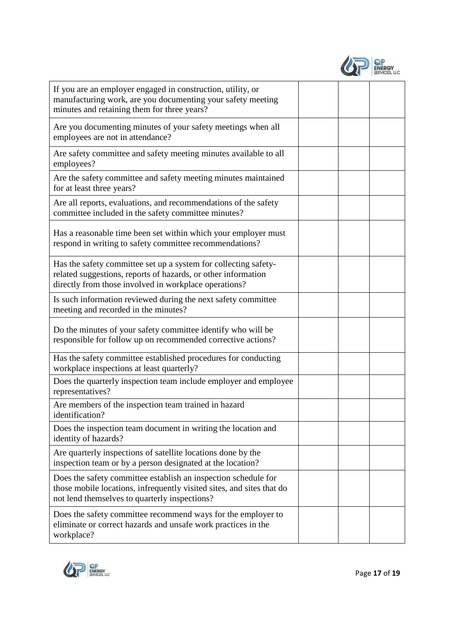| <b>ENERGY</b><br><b>SERVICES, LLC</b> |
|---------------------------------------|
|                                       |

| If you are an employer engaged in construction, utility, or<br>manufacturing work, are you documenting your safety meeting<br>minutes and retaining them for three years?                 |  |  |
|-------------------------------------------------------------------------------------------------------------------------------------------------------------------------------------------|--|--|
| Are you documenting minutes of your safety meetings when all<br>employees are not in attendance?                                                                                          |  |  |
| Are safety committee and safety meeting minutes available to all<br>employees?                                                                                                            |  |  |
| Are the safety committee and safety meeting minutes maintained<br>for at least three years?                                                                                               |  |  |
| Are all reports, evaluations, and recommendations of the safety<br>committee included in the safety committee minutes?                                                                    |  |  |
| Has a reasonable time been set within which your employer must<br>respond in writing to safety committee recommendations?                                                                 |  |  |
| Has the safety committee set up a system for collecting safety-<br>related suggestions, reports of hazards, or other information<br>directly from those involved in workplace operations? |  |  |
| Is such information reviewed during the next safety committee<br>meeting and recorded in the minutes?                                                                                     |  |  |
| Do the minutes of your safety committee identify who will be<br>responsible for follow up on recommended corrective actions?                                                              |  |  |
| Has the safety committee established procedures for conducting<br>workplace inspections at least quarterly?                                                                               |  |  |
| Does the quarterly inspection team include employer and employee<br>representatives?                                                                                                      |  |  |
| Are members of the inspection team trained in hazard<br>identification?                                                                                                                   |  |  |
| Does the inspection team document in writing the location and<br>identity of hazards?                                                                                                     |  |  |
| Are quarterly inspections of satellite locations done by the<br>inspection team or by a person designated at the location?                                                                |  |  |
| Does the safety committee establish an inspection schedule for<br>those mobile locations, infrequently visited sites, and sites that do<br>not lend themselves to quarterly inspections?  |  |  |
| Does the safety committee recommend ways for the employer to<br>eliminate or correct hazards and unsafe work practices in the<br>workplace?                                               |  |  |

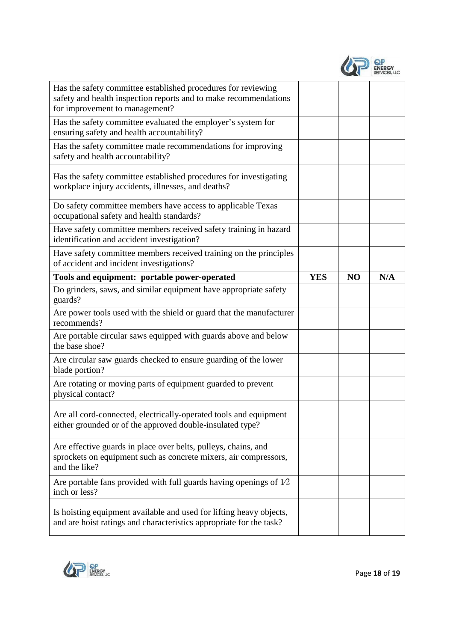| <b>ENERGY</b><br>SERVICES, LLC |
|--------------------------------|
|                                |

| Has the safety committee established procedures for reviewing<br>safety and health inspection reports and to make recommendations<br>for improvement to management? |            |                |     |
|---------------------------------------------------------------------------------------------------------------------------------------------------------------------|------------|----------------|-----|
| Has the safety committee evaluated the employer's system for<br>ensuring safety and health accountability?                                                          |            |                |     |
| Has the safety committee made recommendations for improving<br>safety and health accountability?                                                                    |            |                |     |
| Has the safety committee established procedures for investigating<br>workplace injury accidents, illnesses, and deaths?                                             |            |                |     |
| Do safety committee members have access to applicable Texas<br>occupational safety and health standards?                                                            |            |                |     |
| Have safety committee members received safety training in hazard<br>identification and accident investigation?                                                      |            |                |     |
| Have safety committee members received training on the principles<br>of accident and incident investigations?                                                       |            |                |     |
| Tools and equipment: portable power-operated                                                                                                                        | <b>YES</b> | N <sub>O</sub> | N/A |
| Do grinders, saws, and similar equipment have appropriate safety<br>guards?                                                                                         |            |                |     |
|                                                                                                                                                                     |            |                |     |
| Are power tools used with the shield or guard that the manufacturer<br>recommends?                                                                                  |            |                |     |
| Are portable circular saws equipped with guards above and below<br>the base shoe?                                                                                   |            |                |     |
| Are circular saw guards checked to ensure guarding of the lower<br>blade portion?                                                                                   |            |                |     |
| Are rotating or moving parts of equipment guarded to prevent<br>physical contact?                                                                                   |            |                |     |
| Are all cord-connected, electrically-operated tools and equipment<br>either grounded or of the approved double-insulated type?                                      |            |                |     |
| Are effective guards in place over belts, pulleys, chains, and<br>sprockets on equipment such as concrete mixers, air compressors,<br>and the like?                 |            |                |     |
| Are portable fans provided with full guards having openings of $1/2$<br>inch or less?                                                                               |            |                |     |